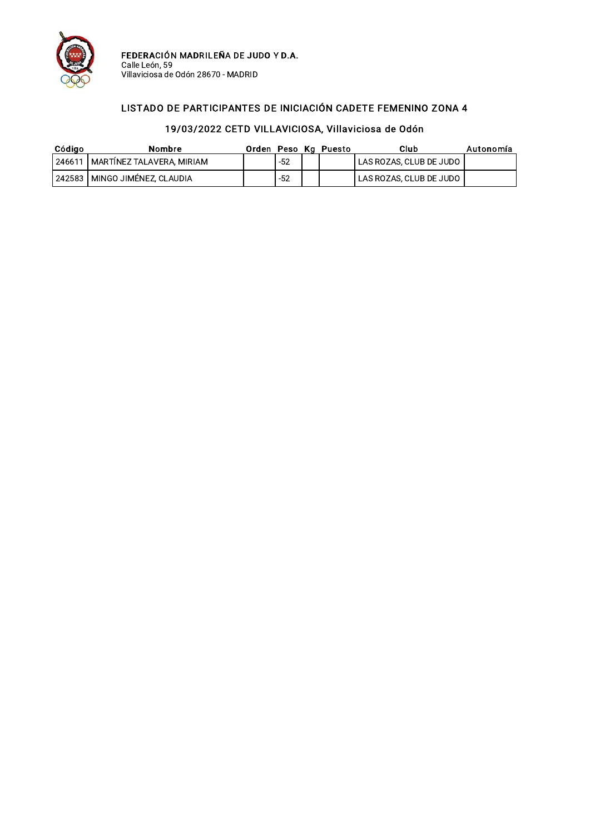

FEDERACIÓN MADRILEÑA DE JUDO Y D.A.<br>Calle León, 59<br>Villaviciosa de Odón 28670 - MADRID

#### LISTADO DE PARTICIPANTES DE INICIACIÓN CADETE FEMENINO ZONA 4

| Código | Nombre                             |       | Orden Peso Kg Puesto | Club                    | Autonomía |
|--------|------------------------------------|-------|----------------------|-------------------------|-----------|
|        | 246611   MARTINEZ TALAVERA, MIRIAM | $-52$ |                      | LAS ROZAS, CLUB DE JUDO |           |
|        | 242583   MINGO JIMÉNEZ, CLAUDIA    | $-52$ |                      | LAS ROZAS, CLUB DE JUDO |           |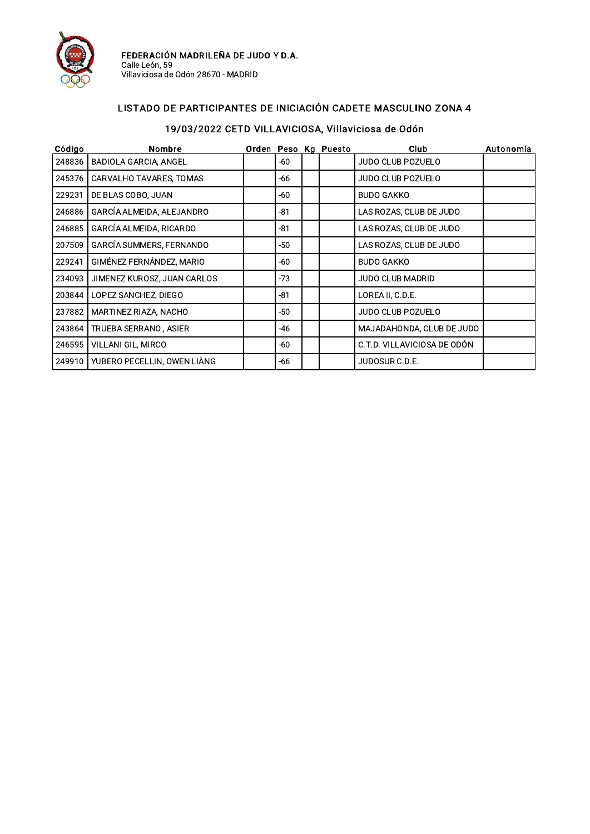

FEDERACIÓN MADRILEÑA DE JUDO Y D.A.<br>Calle León, 59<br>Villaviciosa de Odón 28670 - MADRID

### LISTADO DE PARTICIPANTES DE INICIACIÓN CADETE MASCULINO ZONA 4

| Código | Nombre                       |       | Orden Peso Kg Puesto | <b>Club</b>                 | Autonomía |
|--------|------------------------------|-------|----------------------|-----------------------------|-----------|
| 248836 | <b>BADIOLA GARCIA, ANGEL</b> | -60   |                      | JUDO CLUB POZUELO           |           |
| 245376 | CARVALHO TAVARES, TOMAS      | -66   |                      | JUDO CLUB POZUELO           |           |
| 229231 | DE BLAS COBO, JUAN           | -60   |                      | <b>BUDO GAKKO</b>           |           |
| 246886 | GARCÍA ALMEIDA, ALEJANDRO    | $-81$ |                      | LAS ROZAS, CLUB DE JUDO     |           |
| 246885 | GARCÍA ALMEIDA, RICARDO      | -81   |                      | LAS ROZAS, CLUB DE JUDO     |           |
| 207509 | GARCÍA SUMMERS, FERNANDO     | $-50$ |                      | LAS ROZAS, CLUB DE JUDO     |           |
| 229241 | GIMÉNEZ FERNÁNDEZ, MARIO     | -60   |                      | <b>BUDO GAKKO</b>           |           |
| 234093 | JIMENEZ KUROSZ, JUAN CARLOS  | $-73$ |                      | <b>JUDO CLUB MADRID</b>     |           |
| 203844 | LOPEZ SANCHEZ, DIEGO         | $-81$ |                      | LOREA II, C.D.E.            |           |
| 237882 | MARTINEZ RIAZA, NACHO        | $-50$ |                      | JUDO CLUB POZUELO           |           |
| 243864 | TRUEBA SERRANO, ASIER        | -46   |                      | MAJADAHONDA, CLUB DE JUDO   |           |
| 246595 | VILLANI GIL, MIRCO           | -60   |                      | C.T.D. VILLAVICIOSA DE ODÓN |           |
| 249910 | YUBERO PECELLIN, OWEN LIÀNG  | -66   |                      | JUDOSUR C.D.E.              |           |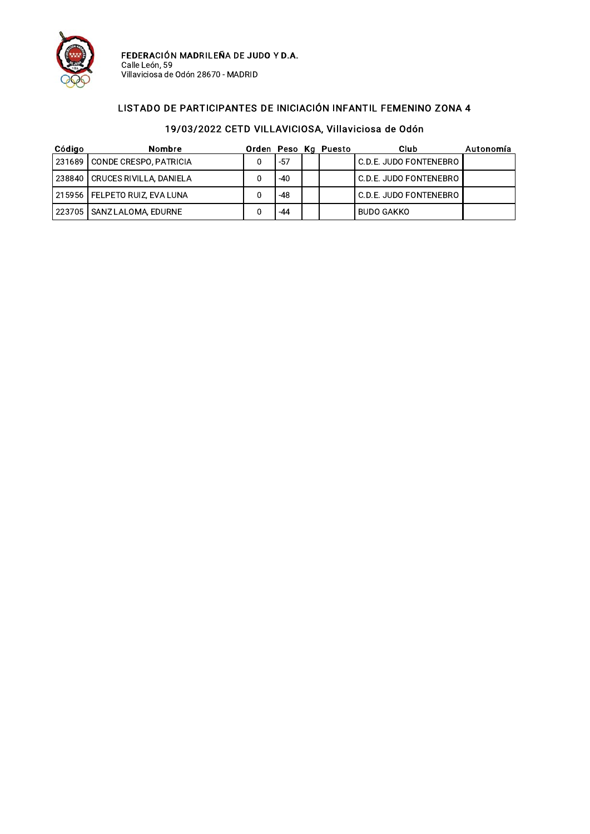

FEDERACIÓN MADRILEÑA DE JUDO Y D.A.<br>Calle León, 59<br>Villaviciosa de Odón 28670 - MADRID

#### LISTADO DE PARTICIPANTES DE INICIACIÓN INFANTIL FEMENINO ZONA 4

| Código | Nombre                           |     | Orden Peso Kg Puesto | Club                   | Autonomía |
|--------|----------------------------------|-----|----------------------|------------------------|-----------|
|        | 231689 CONDE CRESPO, PATRICIA    | -57 |                      | C.D.E. JUDO FONTENEBRO |           |
|        | 238840   CRUCES RIVILLA, DANIELA | -40 |                      | C.D.E. JUDO FONTENEBRO |           |
|        | 215956   FELPETO RUIZ, EVA LUNA  | -48 |                      | C.D.E. JUDO FONTENEBRO |           |
|        | 223705 SANZ LALOMA, EDURNE       | -44 |                      | BUDO GAKKO             |           |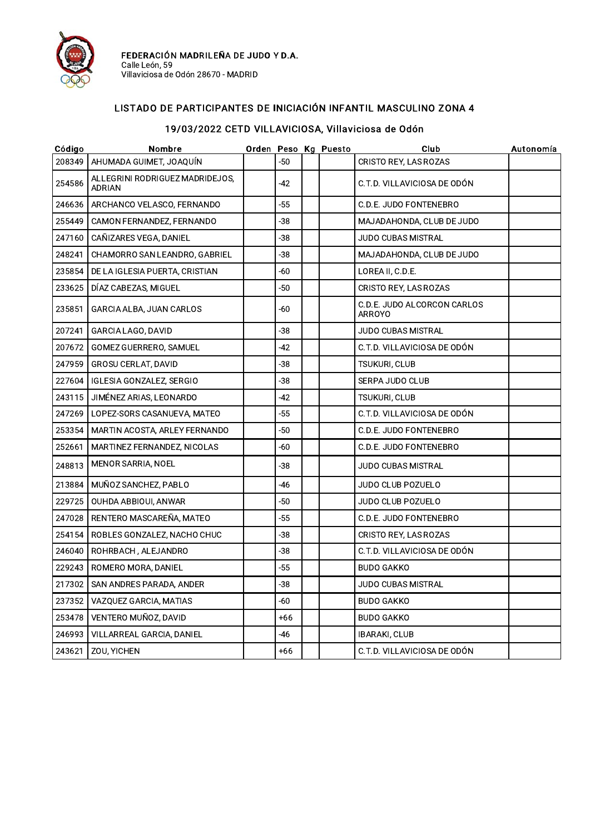

### LISTADO DE PARTICIPANTES DE INICIACIÓN INFANTIL MASCULINO ZONA 4

| Código | Nombre                                           |       | Orden Peso Kg Puesto | Club                                         | Autonomía |
|--------|--------------------------------------------------|-------|----------------------|----------------------------------------------|-----------|
| 208349 | AHUMADA GUIMET, JOAQUÍN                          | $-50$ |                      | CRISTO REY, LAS ROZAS                        |           |
| 254586 | ALLEGRINI RODRIGUEZ MADRIDEJOS,<br><b>ADRIAN</b> | -42   |                      | C.T.D. VILLAVICIOSA DE ODÓN                  |           |
| 246636 | ARCHANCO VELASCO, FERNANDO                       | $-55$ |                      | C.D.E. JUDO FONTENEBRO                       |           |
| 255449 | CAMON FERNANDEZ, FERNANDO                        | $-38$ |                      | MAJADAHONDA, CLUB DE JUDO                    |           |
| 247160 | CAÑIZARES VEGA, DANIEL                           | $-38$ |                      | <b>JUDO CUBAS MISTRAL</b>                    |           |
| 248241 | CHAMORRO SAN LEANDRO, GABRIEL                    | $-38$ |                      | MAJADAHONDA, CLUB DE JUDO                    |           |
| 235854 | DE LA IGLESIA PUERTA, CRISTIAN                   | $-60$ |                      | LOREA II, C.D.E.                             |           |
| 233625 | DÍAZ CABEZAS, MIGUEL                             | $-50$ |                      | <b>CRISTO REY, LAS ROZAS</b>                 |           |
| 235851 | GARCIA ALBA, JUAN CARLOS                         | -60   |                      | C.D.E. JUDO ALCORCON CARLOS<br><b>ARROYO</b> |           |
| 207241 | GARCIA LAGO, DAVID                               | $-38$ |                      | JUDO CUBAS MISTRAL                           |           |
| 207672 | GOMEZ GUERRERO, SAMUEL                           | $-42$ |                      | C.T.D. VILLAVICIOSA DE ODÓN                  |           |
| 247959 | <b>GROSU CERLAT, DAVID</b>                       | $-38$ |                      | TSUKURI, CLUB                                |           |
| 227604 | IGLESIA GONZALEZ, SERGIO                         | $-38$ |                      | <b>SERPA JUDO CLUB</b>                       |           |
| 243115 | JIMÉNEZ ARIAS, LEONARDO                          | $-42$ |                      | TSUKURI, CLUB                                |           |
| 247269 | LOPEZ-SORS CASANUEVA, MATEO                      | -55   |                      | C.T.D. VILLAVICIOSA DE ODÓN                  |           |
| 253354 | MARTIN ACOSTA, ARLEY FERNANDO                    | -50   |                      | C.D.E. JUDO FONTENEBRO                       |           |
| 252661 | MARTINEZ FERNANDEZ, NICOLAS                      | -60   |                      | C.D.E. JUDO FONTENEBRO                       |           |
| 248813 | MENOR SARRIA, NOEL                               | -38   |                      | JUDO CUBAS MISTRAL                           |           |
| 213884 | MUÑOZ SANCHEZ, PABLO                             | $-46$ |                      | JUDO CLUB POZUELO                            |           |
| 229725 | OUHDA ABBIOUI, ANWAR                             | $-50$ |                      | JUDO CLUB POZUELO                            |           |
| 247028 | RENTERO MASCAREÑA, MATEO                         | $-55$ |                      | C.D.E. JUDO FONTENEBRO                       |           |
| 254154 | ROBLES GONZALEZ, NACHO CHUC                      | $-38$ |                      | CRISTO REY, LAS ROZAS                        |           |
| 246040 | ROHRBACH, ALEJANDRO                              | -38   |                      | C.T.D. VILLAVICIOSA DE ODÓN                  |           |
| 229243 | ROMERO MORA, DANIEL                              | $-55$ |                      | <b>BUDO GAKKO</b>                            |           |
| 217302 | SAN ANDRES PARADA, ANDER                         | -38   |                      | JUDO CUBAS MISTRAL                           |           |
| 237352 | VAZQUEZ GARCIA, MATIAS                           | -60   |                      | <b>BUDO GAKKO</b>                            |           |
| 253478 | VENTERO MUÑOZ, DAVID                             | $+66$ |                      | <b>BUDO GAKKO</b>                            |           |
| 246993 | VILLARREAL GARCIA, DANIEL                        | -46   |                      | IBARAKI, CLUB                                |           |
| 243621 | ZOU, YICHEN                                      | $+66$ |                      | C.T.D. VILLAVICIOSA DE ODÓN                  |           |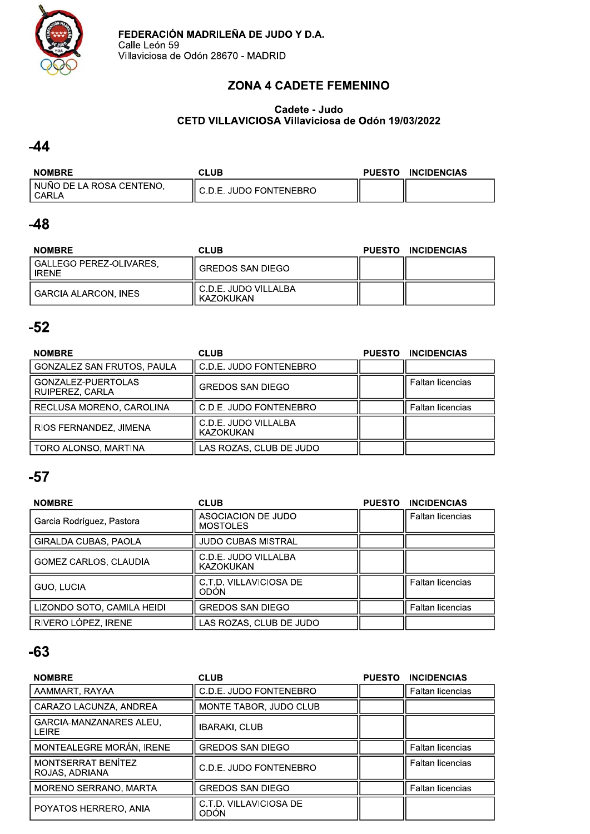

### ZONA 4 CADE I E FEMENINO

#### Cadete - Judo<br>\* \* \* \* \* \* \* \* CETD VILLAVICIOSA VIIIaviciosa de Odon 19/03/2022

### $-44$

| <b>NOMBRE</b>                       | <b>CLUB</b>            | <b>PUESTO</b> | <b>INCIDENCIAS</b> |
|-------------------------------------|------------------------|---------------|--------------------|
| NUÑO DE LA ROSA CENTENO.<br>l CARLA | C.D.E. JUDO FONTENEBRO |               |                    |

### $-48$

| <b>NOMBRE</b>                        | <b>CLUB</b>                         | PUESTO INCIDENCIAS |
|--------------------------------------|-------------------------------------|--------------------|
| l GALLEGO PEREZ-OLIVARES.<br>I IRFNF | <b>GREDOS SAN DIEGO</b>             |                    |
| I GARCIA ALARCON. INES               | ، C.D.E. JUDO VILLALBA<br>KAZOKUKAN |                    |

### $-52$

| <b>NOMBRE</b>                         | <b>CLUB</b>                       | <b>PUESTO</b> | <b>INCIDENCIAS</b> |
|---------------------------------------|-----------------------------------|---------------|--------------------|
| <b>GONZALEZ SAN FRUTOS, PAULA</b>     | C.D.E. JUDO FONTENEBRO            |               |                    |
| GONZALEZ-PUERTOLAS<br>RUIPEREZ, CARLA | <b>GREDOS SAN DIEGO</b>           |               | Faltan licencias   |
| RECLUSA MORENO, CAROLINA              | C.D.E. JUDO FONTENEBRO            |               | Faltan licencias   |
| RIOS FERNANDEZ, JIMENA                | C.D.E. JUDO VILLALBA<br>KAZOKUKAN |               |                    |
| TORO ALONSO, MARTINA                  | LAS ROZAS, CLUB DE JUDO           |               |                    |

### $-57$

| <b>NOMBRE</b>                | <b>CLUB</b>                           | <b>PUESTO</b> | <b>INCIDENCIAS</b>      |
|------------------------------|---------------------------------------|---------------|-------------------------|
| Garcia Rodríguez, Pastora    | ASOCIACION DE JUDO<br><b>MOSTOLES</b> |               | <b>Faltan licencias</b> |
| GIRALDA CUBAS, PAOLA         | <b>JUDO CUBAS MISTRAL</b>             |               |                         |
| <b>GOMEZ CARLOS, CLAUDIA</b> | C.D.E. JUDO VILLALBA<br>KAZOKUKAN     |               |                         |
| <b>GUO, LUCIA</b>            | C.T.D. VILLAVICIOSA DE<br>ODÓN        |               | Faltan licencias        |
| LIZONDO SOTO, CAMILA HEIDI   | <b>GREDOS SAN DIEGO</b>               |               | Faltan licencias        |
| RIVERO LÓPEZ, IRENE          | LAS ROZAS, CLUB DE JUDO               |               |                         |

| <b>NOMBRE</b>                                  | <b>CLUB</b>                           | <b>PUESTO</b> | <b>INCIDENCIAS</b>      |
|------------------------------------------------|---------------------------------------|---------------|-------------------------|
| AAMMART, RAYAA                                 | C.D.E. JUDO FONTENEBRO                |               | <b>Faltan licencias</b> |
| CARAZO LACUNZA, ANDREA                         | MONTE TABOR, JUDO CLUB                |               |                         |
| <b>GARCIA-MANZANARES ALEU.</b><br><b>LEIRE</b> | <b>IBARAKI, CLUB</b>                  |               |                         |
| MONTEALEGRE MORÁN, IRENE                       | <b>GREDOS SAN DIEGO</b>               |               | Faltan licencias        |
| MONTSERRAT BENÍTEZ<br>ROJAS, ADRIANA           | C.D.E. JUDO FONTENEBRO                |               | <b>Faltan licencias</b> |
| MORENO SERRANO, MARTA                          | <b>GREDOS SAN DIEGO</b>               |               | Faltan licencias        |
| POYATOS HERRERO, ANIA                          | C.T.D. VILLAVICIOSA DE<br><b>ODÓN</b> |               |                         |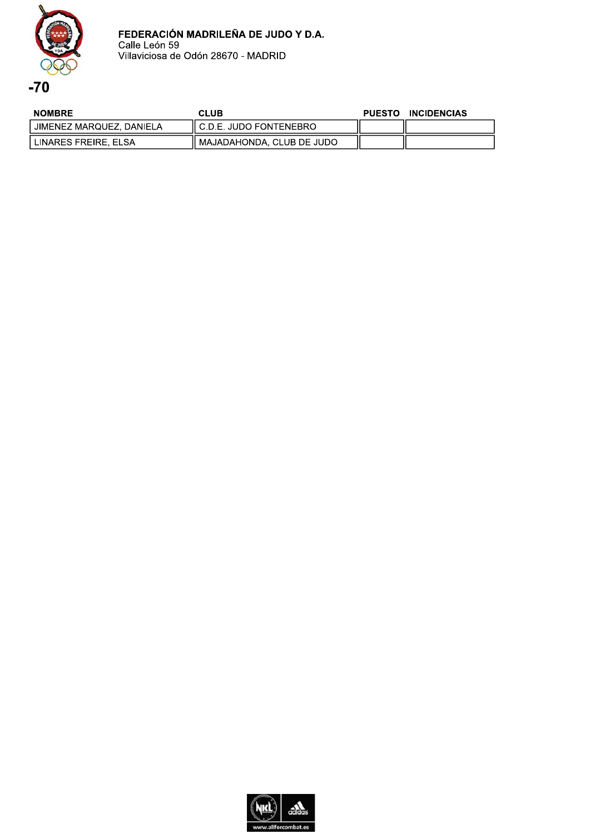

**NOMBRE CLUB** PUESTO INCIDENCIAS **JIMENEZ MARQUEZ, DANIELA C.D.E. JUDO FONTENEBRO** LINARES FREIRE, ELSA MAJADAHONDA, CLUB DE JUDO

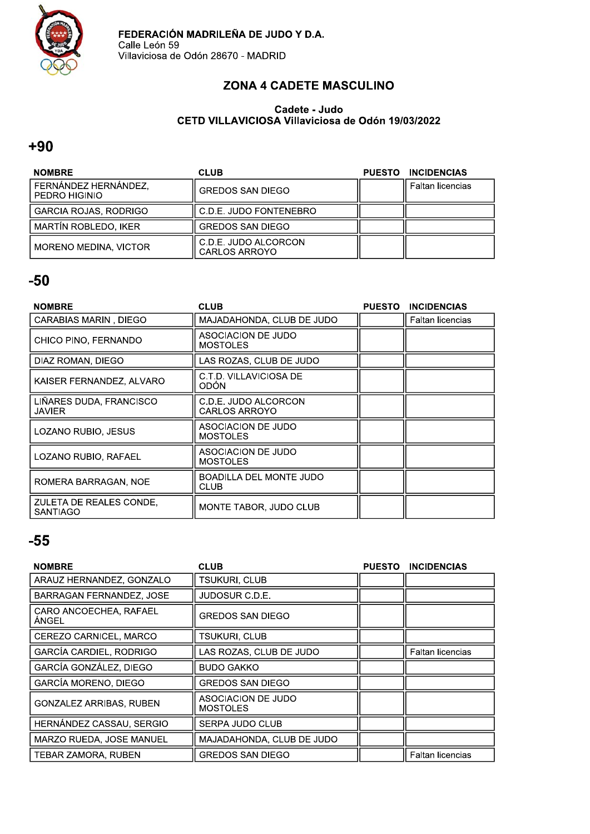

### ZONA 4 CADETE MASCULINO

#### Cadete - Judo CETD VILLAVICIOSA Villaviciosa de Odón 19/03/2022

#### $+90$

| <b>NOMBRE</b>                         | <b>CLUB</b>                                  | <b>PUESTO</b> | <b>INCIDENCIAS</b> |
|---------------------------------------|----------------------------------------------|---------------|--------------------|
| FERNÁNDEZ HERNÁNDEZ,<br>PEDRO HIGINIO | <b>GREDOS SAN DIEGO</b>                      |               | Faltan licencias   |
| <b>GARCIA ROJAS, RODRIGO</b>          | C.D.E. JUDO FONTENEBRO                       |               |                    |
| <b>MARTÍN ROBLEDO, IKER</b>           | <b>GREDOS SAN DIEGO</b>                      |               |                    |
| MORENO MEDINA, VICTOR                 | C.D.E. JUDO ALCORCON<br><b>CARLOS ARROYO</b> |               |                    |

### $-50$

| <b>NOMBRE</b>                              | <b>CLUB</b>                                  | <b>PUESTO</b> | <b>INCIDENCIAS</b> |
|--------------------------------------------|----------------------------------------------|---------------|--------------------|
| CARABIAS MARIN, DIEGO                      | MAJADAHONDA, CLUB DE JUDO                    |               | Faltan licencias   |
| CHICO PINO, FERNANDO                       | ASOCIACION DE JUDO<br><b>MOSTOLES</b>        |               |                    |
| DIAZ ROMAN, DIEGO                          | LAS ROZAS, CLUB DE JUDO                      |               |                    |
| KAISER FERNANDEZ, ALVARO                   | C.T.D. VILLAVICIOSA DE<br>ODÓN               |               |                    |
| LIÑARES DUDA, FRANCISCO<br><b>JAVIER</b>   | C.D.E. JUDO ALCORCON<br><b>CARLOS ARROYO</b> |               |                    |
| LOZANO RUBIO, JESUS                        | ASOCIACION DE JUDO<br><b>MOSTOLES</b>        |               |                    |
| LOZANO RUBIO, RAFAEL                       | ASOCIACION DE JUDO<br><b>MOSTOLES</b>        |               |                    |
| ROMERA BARRAGAN, NOE                       | BOADILLA DEL MONTE JUDO<br>CLUB              |               |                    |
| ZULETA DE REALES CONDE,<br><b>SANTIAGO</b> | MONTE TABOR, JUDO CLUB                       |               |                    |

| <b>NOMBRE</b>                   | <b>CLUB</b>                           | <b>PUESTO</b> | <b>INCIDENCIAS</b>      |
|---------------------------------|---------------------------------------|---------------|-------------------------|
| ARAUZ HERNANDEZ, GONZALO        | TSUKURI, CLUB                         |               |                         |
| BARRAGAN FERNANDEZ, JOSE        | JUDOSUR C.D.E.                        |               |                         |
| CARO ANCOECHEA, RAFAEL<br>ÀNGEL | <b>GREDOS SAN DIEGO</b>               |               |                         |
| CEREZO CARNICEL, MARCO          | TSUKURI. CLUB                         |               |                         |
| <b>GARCÍA CARDIEL, RODRIGO</b>  | LAS ROZAS, CLUB DE JUDO               |               | <b>Faltan licencias</b> |
| GARCÍA GONZÁLEZ, DIEGO          | <b>BUDO GAKKO</b>                     |               |                         |
| <b>GARCÍA MORENO, DIEGO</b>     | <b>GREDOS SAN DIEGO</b>               |               |                         |
| <b>GONZALEZ ARRIBAS, RUBEN</b>  | ASOCIACION DE JUDO<br><b>MOSTOLES</b> |               |                         |
| HERNÁNDEZ CASSAU, SERGIO        | SERPA JUDO CLUB                       |               |                         |
| MARZO RUEDA, JOSE MANUEL        | MAJADAHONDA, CLUB DE JUDO             |               |                         |
| <b>TEBAR ZAMORA, RUBEN</b>      | <b>GREDOS SAN DIEGO</b>               |               | Faltan licencias        |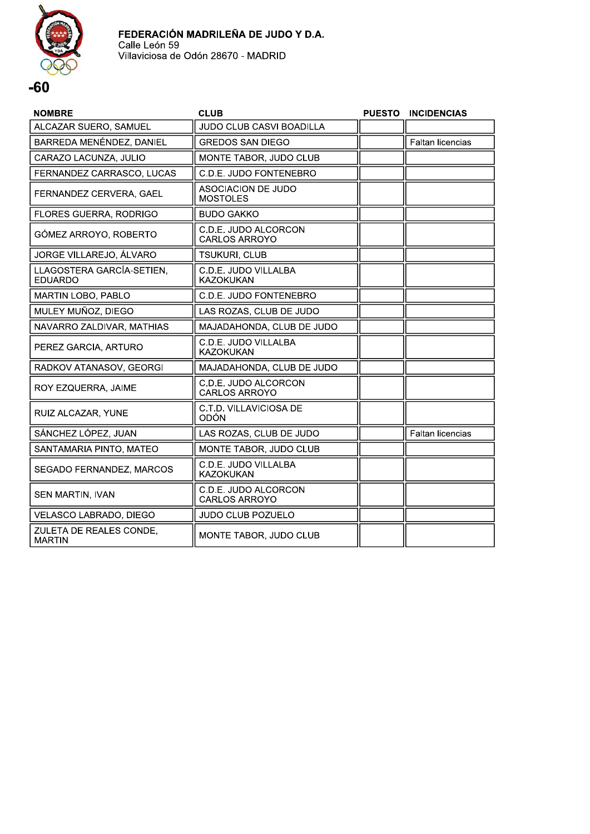

| <b>NOMBRE</b>                               | <b>CLUB</b>                                  | <b>PUESTO</b> | <b>INCIDENCIAS</b> |
|---------------------------------------------|----------------------------------------------|---------------|--------------------|
| ALCAZAR SUERO, SAMUEL                       | <b>JUDO CLUB CASVI BOADILLA</b>              |               |                    |
| BARREDA MENÉNDEZ, DANIEL                    | <b>GREDOS SAN DIEGO</b>                      |               | Faltan licencias   |
| CARAZO LACUNZA, JULIO                       | MONTE TABOR, JUDO CLUB                       |               |                    |
| FERNANDEZ CARRASCO, LUCAS                   | C.D.E. JUDO FONTENEBRO                       |               |                    |
| FERNANDEZ CERVERA, GAEL                     | ASOCIACION DE JUDO<br><b>MOSTOLES</b>        |               |                    |
| FLORES GUERRA, RODRIGO                      | <b>BUDO GAKKO</b>                            |               |                    |
| GÓMEZ ARROYO, ROBERTO                       | C.D.E. JUDO ALCORCON<br><b>CARLOS ARROYO</b> |               |                    |
| JORGE VILLAREJO, ÁLVARO                     | TSUKURI, CLUB                                |               |                    |
| LLAGOSTERA GARCÍA-SETIEN,<br><b>EDUARDO</b> | C.D.E. JUDO VILLALBA<br>KAZOKUKAN            |               |                    |
| MARTIN LOBO, PABLO                          | C.D.E. JUDO FONTENEBRO                       |               |                    |
| MULEY MUÑOZ, DIEGO                          | LAS ROZAS, CLUB DE JUDO                      |               |                    |
| NAVARRO ZALDIVAR, MATHIAS                   | MAJADAHONDA, CLUB DE JUDO                    |               |                    |
| PEREZ GARCIA, ARTURO                        | C.D.E. JUDO VILLALBA<br><b>KAZOKUKAN</b>     |               |                    |
| RADKOV ATANASOV, GEORGI                     | MAJADAHONDA, CLUB DE JUDO                    |               |                    |
| ROY EZQUERRA, JAIME                         | C.D.E. JUDO ALCORCON<br><b>CARLOS ARROYO</b> |               |                    |
| RUIZ ALCAZAR, YUNE                          | C.T.D. VILLAVICIOSA DE<br><b>ODÓN</b>        |               |                    |
| SÁNCHEZ LÓPEZ, JUAN                         | LAS ROZAS, CLUB DE JUDO                      |               | Faltan licencias   |
| SANTAMARIA PINTO, MATEO                     | MONTE TABOR, JUDO CLUB                       |               |                    |
| SEGADO FERNANDEZ, MARCOS                    | C.D.E. JUDO VILLALBA<br><b>KAZOKUKAN</b>     |               |                    |
| SEN MARTIN, IVAN                            | C.D.E. JUDO ALCORCON<br>CARLOS ARROYO        |               |                    |
| VELASCO LABRADO, DIEGO                      | JUDO CLUB POZUELO                            |               |                    |
| ZULETA DE REALES CONDE,<br><b>MARTIN</b>    | MONTE TABOR, JUDO CLUB                       |               |                    |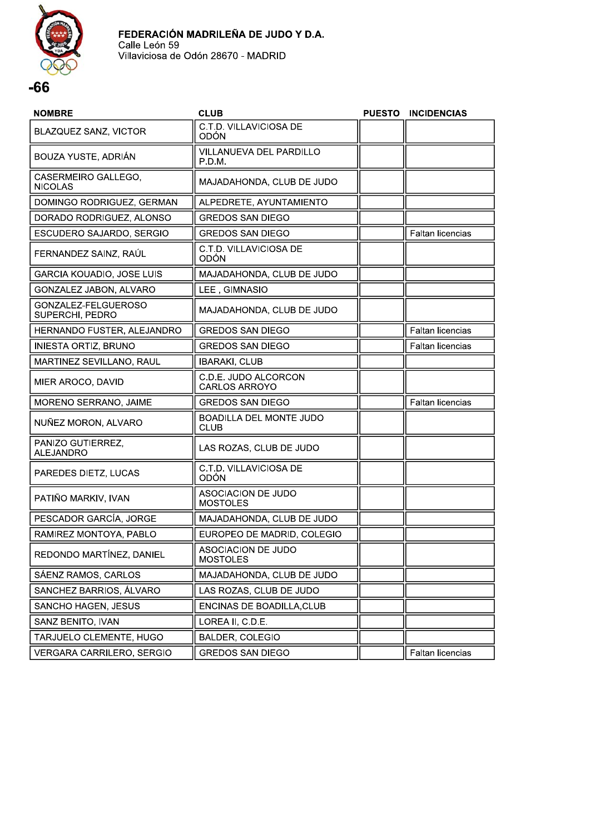

| <b>NOMBRE</b>                          | <b>CLUB</b>                                   | <b>PUESTO</b> | <b>INCIDENCIAS</b>      |
|----------------------------------------|-----------------------------------------------|---------------|-------------------------|
| BLAZQUEZ SANZ, VICTOR                  | C.T.D. VILLAVICIOSA DE<br>ODÓN                |               |                         |
| BOUZA YUSTE, ADRIÁN                    | VILLANUEVA DEL PARDILLO<br>P.D.M.             |               |                         |
| CASERMEIRO GALLEGO,<br><b>NICOLAS</b>  | MAJADAHONDA, CLUB DE JUDO                     |               |                         |
| DOMINGO RODRIGUEZ, GERMAN              | ALPEDRETE, AYUNTAMIENTO                       |               |                         |
| DORADO RODRIGUEZ, ALONSO               | <b>GREDOS SAN DIEGO</b>                       |               |                         |
| ESCUDERO SAJARDO, SERGIO               | <b>GREDOS SAN DIEGO</b>                       |               | Faltan licencias        |
| FERNANDEZ SAINZ, RAÚL                  | C.T.D. VILLAVICIOSA DE<br>ODÓN                |               |                         |
| GARCIA KOUADIO, JOSE LUIS              | MAJADAHONDA, CLUB DE JUDO                     |               |                         |
| GONZALEZ JABON, ALVARO                 | LEE, GIMNASIO                                 |               |                         |
| GONZALEZ-FELGUEROSO<br>SUPERCHI, PEDRO | MAJADAHONDA, CLUB DE JUDO                     |               |                         |
| HERNANDO FUSTER, ALEJANDRO             | <b>GREDOS SAN DIEGO</b>                       |               | Faltan licencias        |
| INIESTA ORTIZ, BRUNO                   | <b>GREDOS SAN DIEGO</b>                       |               | <b>Faltan licencias</b> |
| MARTINEZ SEVILLANO, RAUL               | <b>IBARAKI, CLUB</b>                          |               |                         |
| MIER AROCO, DAVID                      | C.D.E. JUDO ALCORCON<br><b>CARLOS ARROYO</b>  |               |                         |
| MORENO SERRANO, JAIME                  | <b>GREDOS SAN DIEGO</b>                       |               | Faltan licencias        |
| NUÑEZ MORON, ALVARO                    | <b>BOADILLA DEL MONTE JUDO</b><br><b>CLUB</b> |               |                         |
| PANIZO GUTIERREZ,<br><b>ALEJANDRO</b>  | LAS ROZAS, CLUB DE JUDO                       |               |                         |
| PAREDES DIETZ, LUCAS                   | C.T.D. VILLAVICIOSA DE<br><b>ODÓN</b>         |               |                         |
| PATIÑO MARKIV, IVAN                    | ASOCIACION DE JUDO<br><b>MOSTOLES</b>         |               |                         |
| PESCADOR GARCÍA, JORGE                 | MAJADAHONDA, CLUB DE JUDO                     |               |                         |
| RAMIREZ MONTOYA, PABLO                 | EUROPEO DE MADRID, COLEGIO                    |               |                         |
| REDONDO MARTÍNEZ, DANIEL               | ASOCIACION DE JUDO<br><b>MOSTOLES</b>         |               |                         |
| SÁENZ RAMOS, CARLOS                    | MAJADAHONDA, CLUB DE JUDO                     |               |                         |
| SANCHEZ BARRIOS, ÁLVARO                | LAS ROZAS, CLUB DE JUDO                       |               |                         |
| SANCHO HAGEN, JESUS                    | ENCINAS DE BOADILLA, CLUB                     |               |                         |
| SANZ BENITO, IVAN                      | LOREA II, C.D.E.                              |               |                         |
| TARJUELO CLEMENTE, HUGO                | BALDER, COLEGIO                               |               |                         |
| VERGARA CARRILERO, SERGIO              | GREDOS SAN DIEGO                              |               | Faltan licencias        |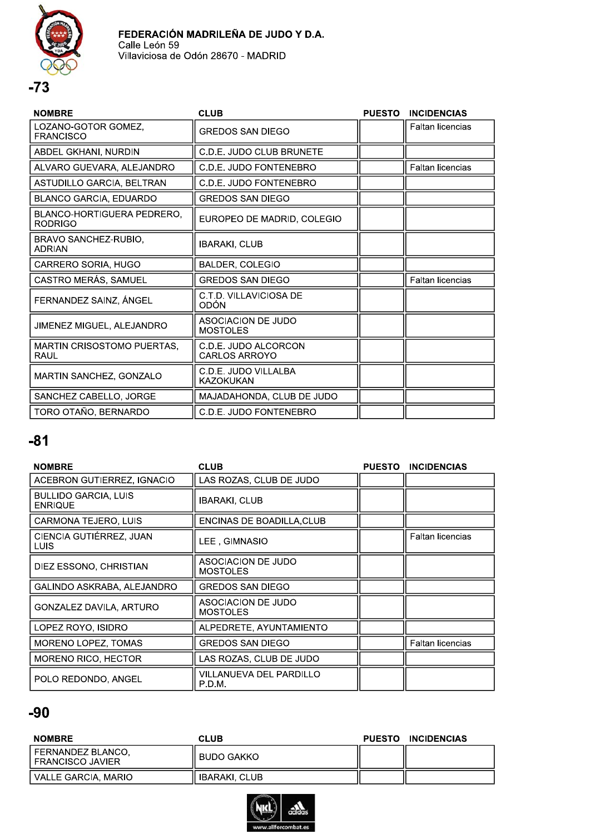



| <b>NOMBRE</b>                                       | <b>CLUB</b>                                  | <b>PUESTO</b> | <b>INCIDENCIAS</b>      |
|-----------------------------------------------------|----------------------------------------------|---------------|-------------------------|
| LOZANO-GOTOR GOMEZ,<br><b>FRANCISCO</b>             | <b>GREDOS SAN DIEGO</b>                      |               | Faltan licencias        |
| ABDEL GKHANI, NURDIN                                | C.D.E. JUDO CLUB BRUNETE                     |               |                         |
| ALVARO GUEVARA, ALEJANDRO                           | C.D.E. JUDO FONTENEBRO                       |               | <b>Faltan licencias</b> |
| ASTUDILLO GARCIA, BELTRAN                           | C.D.E. JUDO FONTENEBRO                       |               |                         |
| <b>BLANCO GARCIA, EDUARDO</b>                       | <b>GREDOS SAN DIEGO</b>                      |               |                         |
| <b>BLANCO-HORTIGUERA PEDRERO.</b><br><b>RODRIGO</b> | EUROPEO DE MADRID, COLEGIO                   |               |                         |
| BRAVO SANCHEZ-RUBIO,<br><b>ADRIAN</b>               | <b>IBARAKI, CLUB</b>                         |               |                         |
| CARRERO SORIA, HUGO                                 | BALDER, COLEGIO                              |               |                         |
| CASTRO MERÁS, SAMUEL                                | <b>GREDOS SAN DIEGO</b>                      |               | Faltan licencias        |
| FERNANDEZ SAINZ, ÁNGEL                              | C.T.D. VILLAVICIOSA DE<br>ODÓN               |               |                         |
| JIMENEZ MIGUEL, ALEJANDRO                           | ASOCIACION DE JUDO<br><b>MOSTOLES</b>        |               |                         |
| MARTIN CRISOSTOMO PUERTAS,<br>RAUL                  | C.D.E. JUDO ALCORCON<br><b>CARLOS ARROYO</b> |               |                         |
| MARTIN SANCHEZ, GONZALO                             | C.D.E. JUDO VILLALBA<br><b>KAZOKUKAN</b>     |               |                         |
| SANCHEZ CABELLO, JORGE                              | MAJADAHONDA, CLUB DE JUDO                    |               |                         |
| TORO OTAÑO, BERNARDO                                | C.D.E. JUDO FONTENEBRO                       |               |                         |
|                                                     |                                              |               |                         |

| <b>NOMBRE</b>                                 | <b>CLUB</b>                                  | <b>PUESTO</b> | <b>INCIDENCIAS</b>      |
|-----------------------------------------------|----------------------------------------------|---------------|-------------------------|
| ACEBRON GUTIERREZ, IGNACIO                    | LAS ROZAS, CLUB DE JUDO                      |               |                         |
| <b>BULLIDO GARCIA, LUIS</b><br><b>ENRIQUE</b> | <b>IBARAKI, CLUB</b>                         |               |                         |
| CARMONA TEJERO, LUIS                          | ENCINAS DE BOADILLA, CLUB                    |               |                         |
| CIENCIA GUTIÉRREZ, JUAN<br><b>LUIS</b>        | LEE . GIMNASIO                               |               | <b>Faltan licencias</b> |
| DIEZ ESSONO, CHRISTIAN                        | <b>ASOCIACION DE JUDO</b><br><b>MOSTOLES</b> |               |                         |
| GALINDO ASKRABA, ALEJANDRO                    | <b>GREDOS SAN DIEGO</b>                      |               |                         |
| GONZALEZ DAVILA, ARTURO                       | ASOCIACION DE JUDO<br><b>MOSTOLES</b>        |               |                         |
| LOPEZ ROYO, ISIDRO                            | ALPEDRETE, AYUNTAMIENTO                      |               |                         |
| MORENO LOPEZ, TOMAS                           | <b>GREDOS SAN DIEGO</b>                      |               | <b>Faltan licencias</b> |
| MORENO RICO, HECTOR                           | LAS ROZAS, CLUB DE JUDO                      |               |                         |
| POLO REDONDO, ANGEL                           | VILLANUEVA DEL PARDILLO<br>P.D.M.            |               |                         |

| <b>NOMBRE</b>                             | CLUB                 | <b>PUESTO</b> | <b>INCIDENCIAS</b> |
|-------------------------------------------|----------------------|---------------|--------------------|
| l FERNANDEZ BLANCO.<br>I FRANCISCO JAVIER | ` BUDO GAKKO I       |               |                    |
| l VALLE GARCIA. MARIO                     | <b>IBARAKI, CLUB</b> |               |                    |

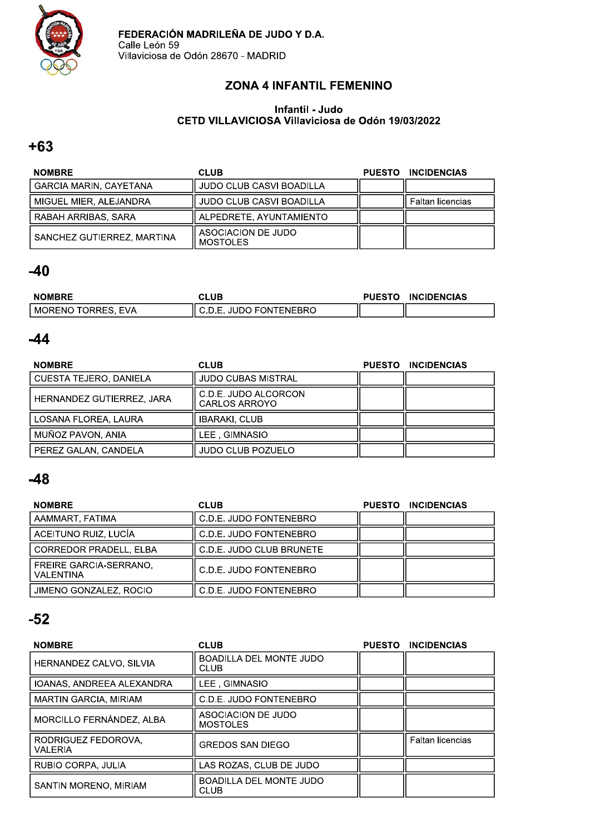

### ZONA 4 INFANTIL FEMENINO

#### Infantii - Judo<br>A CETD VILLAVICIOSA VIIIaviciosa de Odon 19/03/2022

### $+63$

| <b>NOMBRE</b>                 | <b>CLUB</b>                           | <b>PUESTO</b> | <b>INCIDENCIAS</b> |
|-------------------------------|---------------------------------------|---------------|--------------------|
| <b>GARCIA MARIN, CAYETANA</b> | <b>JUDO CLUB CASVI BOADILLA</b>       |               |                    |
| MIGUEL MIER, ALEJANDRA        | <b>JUDO CLUB CASVI BOADILLA</b>       |               | Faltan licencias   |
| RABAH ARRIBAS, SARA           | ALPEDRETE, AYUNTAMIENTO               |               |                    |
| SANCHEZ GUTIERREZ, MARTINA    | ASOCIACION DE JUDO<br><b>MOSTOLES</b> |               |                    |

### $-40$

| <b>NOMBRE</b>           | CLUB                   | <b>PUESTO</b> | <b>INCIDENCIAS</b> |
|-------------------------|------------------------|---------------|--------------------|
| EVA<br>! MORENO TORRES. | <b>JUDO FONTENEBRO</b> |               |                    |

### $-44$

| <b>NOMBRE</b>                 | <b>CLUB</b>                           | <b>PUESTO</b> | <b>INCIDENCIAS</b> |
|-------------------------------|---------------------------------------|---------------|--------------------|
| <b>CUESTA TEJERO, DANIELA</b> | <b>JUDO CUBAS MISTRAL</b>             |               |                    |
| HERNANDEZ GUTIERREZ, JARA     | C.D.E. JUDO ALCORCON<br>CARLOS ARROYO |               |                    |
| LOSANA FLOREA, LAURA          | <b>IBARAKI, CLUB</b>                  |               |                    |
| MUÑOZ PAVON, ANIA             | LEE. GIMNASIO                         |               |                    |
| PEREZ GALAN, CANDELA          | <b>JUDO CLUB POZUELO</b>              |               |                    |

### $-48$

| <b>NOMBRE</b>                                     | <b>CLUB</b>              | <b>PUESTO</b> | <b>INCIDENCIAS</b> |
|---------------------------------------------------|--------------------------|---------------|--------------------|
| AAMMART, FATIMA                                   | C.D.E. JUDO FONTENEBRO   |               |                    |
| ACEITUNO RUIZ, LUCÍA                              | C.D.E. JUDO FONTENEBRO   |               |                    |
| <b>CORREDOR PRADELL, ELBA</b>                     | C.D.E. JUDO CLUB BRUNETE |               |                    |
| <b>FREIRE GARCIA-SERRANO.</b><br><b>VALENTINA</b> | C.D.E. JUDO FONTENEBRO   |               |                    |
| JIMENO GONZALEZ, ROCIO                            | C.D.E. JUDO FONTENEBRO   |               |                    |

| <b>NOMBRE</b>                  | <b>CLUB</b>                                   | <b>PUESTO</b> | <b>INCIDENCIAS</b>      |
|--------------------------------|-----------------------------------------------|---------------|-------------------------|
| HERNANDEZ CALVO, SILVIA        | <b>BOADILLA DEL MONTE JUDO</b><br><b>CLUB</b> |               |                         |
| IOANAS, ANDREEA ALEXANDRA      | LEE, GIMNASIO                                 |               |                         |
| <b>MARTIN GARCIA, MIRIAM</b>   | C.D.E. JUDO FONTENEBRO                        |               |                         |
| MORCILLO FERNÁNDEZ, ALBA       | ASOCIACION DE JUDO<br><b>MOSTOLES</b>         |               |                         |
| RODRIGUEZ FEDOROVA.<br>VALERIA | <b>GREDOS SAN DIEGO</b>                       |               | <b>Faltan licencias</b> |
| RUBIO CORPA, JULIA             | LAS ROZAS. CLUB DE JUDO                       |               |                         |
| SANTIN MORENO, MIRIAM          | <b>BOADILLA DEL MONTE JUDO</b><br><b>CLUB</b> |               |                         |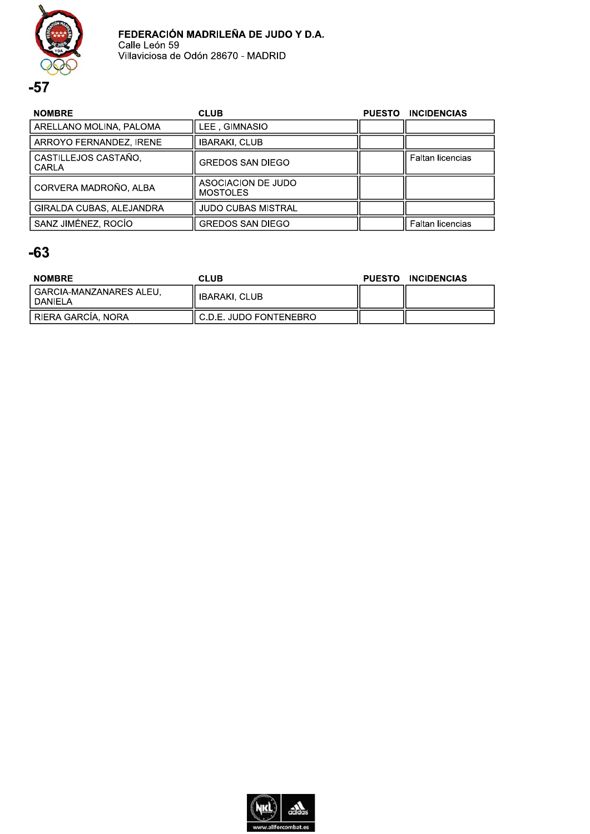

| <b>NOMBRE</b>                        | <b>CLUB</b>                           | <b>PUESTO</b> | <b>INCIDENCIAS</b>      |
|--------------------------------------|---------------------------------------|---------------|-------------------------|
| ARELLANO MOLINA, PALOMA              | LEE, GIMNASIO                         |               |                         |
| ARROYO FERNANDEZ, IRENE              | <b>IBARAKI, CLUB</b>                  |               |                         |
| CASTILLEJOS CASTAÑO,<br><b>CARLA</b> | <b>GREDOS SAN DIEGO</b>               |               | <b>Faltan licencias</b> |
| CORVERA MADROÑO, ALBA                | ASOCIACION DE JUDO<br><b>MOSTOLES</b> |               |                         |
| GIRALDA CUBAS, ALEJANDRA             | <b>JUDO CUBAS MISTRAL</b>             |               |                         |
| SANZ JIMÉNEZ, ROCÍO                  | <b>GREDOS SAN DIEGO</b>               |               | <b>Faltan licencias</b> |

| <b>NOMBRE</b>                        | CLUB                      | <b>PUESTO</b> | <b>INCIDENCIAS</b> |
|--------------------------------------|---------------------------|---------------|--------------------|
| ∣ GARCIA-MANZANARES ALEU.<br>DANIELA | IBARAKI, CLUB             |               |                    |
| RIERA GARCÍA, NORA                   | ll C.D.E. JUDO FONTENEBRO |               |                    |

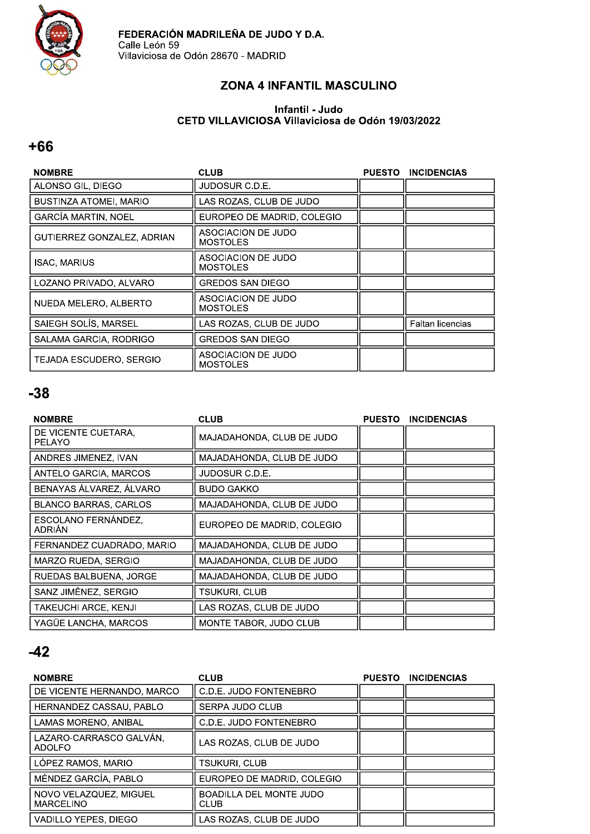

### ZONA 4 INFANTIL MASCULINO

#### Infantil - Judo CETD VILLAVICIOSA Villaviciosa de Odón 19/03/2022

#### $+66$

| <b>NOMBRE</b>              | <b>CLUB</b>                           | <b>PUESTO</b> | <b>INCIDENCIAS</b> |
|----------------------------|---------------------------------------|---------------|--------------------|
| ALONSO GIL, DIEGO          | JUDOSUR C.D.E.                        |               |                    |
| BUSTINZA ATOMEI, MARIO     | LAS ROZAS, CLUB DE JUDO               |               |                    |
| <b>GARCÍA MARTIN, NOEL</b> | EUROPEO DE MADRID, COLEGIO            |               |                    |
| GUTIERREZ GONZALEZ, ADRIAN | ASOCIACION DE JUDO<br><b>MOSTOLES</b> |               |                    |
| <b>ISAC, MARIUS</b>        | ASOCIACION DE JUDO<br>MOSTOLES        |               |                    |
| LOZANO PRIVADO, ALVARO     | <b>GREDOS SAN DIEGO</b>               |               |                    |
| NUEDA MELERO, ALBERTO      | ASOCIACION DE JUDO<br><b>MOSTOLES</b> |               |                    |
| SAIEGH SOLÍS, MARSEL       | LAS ROZAS. CLUB DE JUDO               |               | Faltan licencias   |
| SALAMA GARCIA. RODRIGO     | <b>GREDOS SAN DIEGO</b>               |               |                    |
| TEJADA ESCUDERO. SERGIO    | ASOCIACION DE JUDO<br><b>MOSTOLES</b> |               |                    |

### $-38$

| <b>NOMBRE</b>                        | <b>CLUB</b>                | <b>PUESTO</b> | <b>INCIDENCIAS</b> |
|--------------------------------------|----------------------------|---------------|--------------------|
| DE VICENTE CUETARA.<br><b>PELAYO</b> | MAJADAHONDA, CLUB DE JUDO  |               |                    |
| ANDRES JIMENEZ, IVAN                 | MAJADAHONDA, CLUB DE JUDO  |               |                    |
| ANTELO GARCIA, MARCOS                | JUDOSUR C.D.E.             |               |                    |
| BENAYAS ÁLVAREZ, ÁLVARO              | <b>BUDO GAKKO</b>          |               |                    |
| <b>BLANCO BARRAS, CARLOS</b>         | MAJADAHONDA. CLUB DE JUDO  |               |                    |
| ESCOLANO FERNÁNDEZ.<br>ADRIÁN        | EUROPEO DE MADRID, COLEGIO |               |                    |
| FERNANDEZ CUADRADO, MARIO            | MAJADAHONDA, CLUB DE JUDO  |               |                    |
| MARZO RUEDA, SERGIO                  | MAJADAHONDA, CLUB DE JUDO  |               |                    |
| RUEDAS BALBUENA, JORGE               | MAJADAHONDA, CLUB DE JUDO  |               |                    |
| SANZ JIMÉNEZ, SERGIO                 | TSUKURI. CLUB              |               |                    |
| TAKEUCHI ARCE. KENJI                 | LAS ROZAS. CLUB DE JUDO    |               |                    |
| YAGÜE LANCHA, MARCOS                 | MONTE TABOR, JUDO CLUB     |               |                    |

| <b>NOMBRE</b>                              | <b>CLUB</b>                                   | <b>PUESTO</b> | <b>INCIDENCIAS</b> |
|--------------------------------------------|-----------------------------------------------|---------------|--------------------|
| DE VICENTE HERNANDO, MARCO                 | C.D.E. JUDO FONTENEBRO                        |               |                    |
| HERNANDEZ CASSAU, PABLO                    | SERPA JUDO CLUB                               |               |                    |
| LAMAS MORENO, ANIBAL                       | C.D.E. JUDO FONTENEBRO                        |               |                    |
| LAZARO-CARRASCO GALVÁN,<br><b>ADOLFO</b>   | LAS ROZAS, CLUB DE JUDO                       |               |                    |
| LÓPEZ RAMOS, MARIO                         | TSUKURI. CLUB                                 |               |                    |
| MÉNDEZ GARCÍA, PABLO                       | EUROPEO DE MADRID, COLEGIO                    |               |                    |
| NOVO VELAZQUEZ, MIGUEL<br><b>MARCELINO</b> | <b>BOADILLA DEL MONTE JUDO</b><br><b>CLUB</b> |               |                    |
| VADILLO YEPES, DIEGO                       | LAS ROZAS, CLUB DE JUDO                       |               |                    |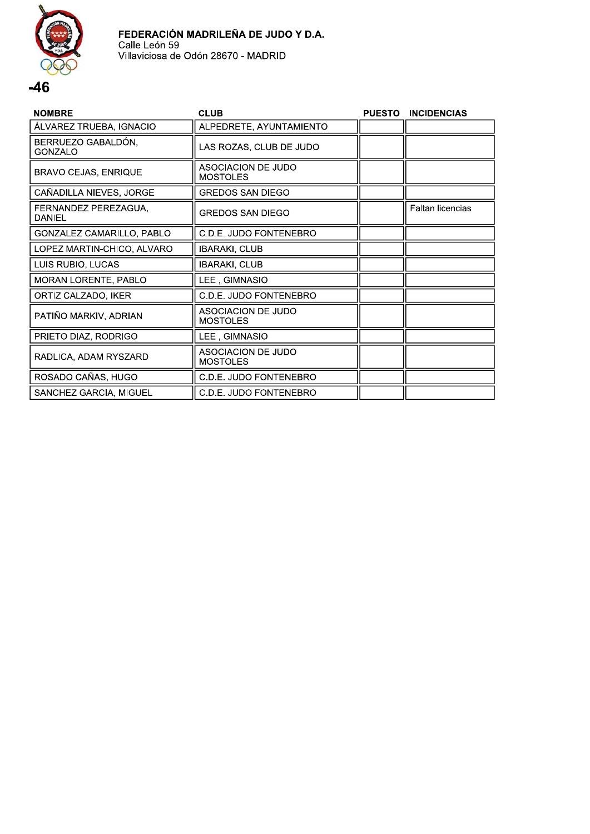

| <b>NOMBRE</b>                        | <b>CLUB</b>                           | <b>PUESTO</b> | <b>INCIDENCIAS</b> |
|--------------------------------------|---------------------------------------|---------------|--------------------|
| ÁLVAREZ TRUEBA, IGNACIO              | ALPEDRETE, AYUNTAMIENTO               |               |                    |
| BERRUEZO GABALDÓN,<br><b>GONZALO</b> | LAS ROZAS, CLUB DE JUDO               |               |                    |
| <b>BRAVO CEJAS, ENRIQUE</b>          | ASOCIACION DE JUDO<br><b>MOSTOLES</b> |               |                    |
| CAÑADILLA NIEVES, JORGE              | <b>GREDOS SAN DIEGO</b>               |               |                    |
| FERNANDEZ PEREZAGUA,<br>DANIEL       | <b>GREDOS SAN DIEGO</b>               |               | Faltan licencias   |
| GONZALEZ CAMARILLO, PABLO            | C.D.E. JUDO FONTENEBRO                |               |                    |
| LOPEZ MARTIN-CHICO, ALVARO           | <b>IBARAKI, CLUB</b>                  |               |                    |
| LUIS RUBIO, LUCAS                    | <b>IBARAKI, CLUB</b>                  |               |                    |
| MORAN LORENTE, PABLO                 | LEE, GIMNASIO                         |               |                    |
| ORTIZ CALZADO, IKER                  | C.D.E. JUDO FONTENEBRO                |               |                    |
| PATIÑO MARKIV, ADRIAN                | ASOCIACION DE JUDO<br><b>MOSTOLES</b> |               |                    |
| PRIETO DIAZ, RODRIGO                 | LEE, GIMNASIO                         |               |                    |
| RADLICA, ADAM RYSZARD                | ASOCIACION DE JUDO<br><b>MOSTOLES</b> |               |                    |
| ROSADO CAÑAS, HUGO                   | C.D.E. JUDO FONTENEBRO                |               |                    |
| SANCHEZ GARCIA, MIGUEL               | C.D.E. JUDO FONTENEBRO                |               |                    |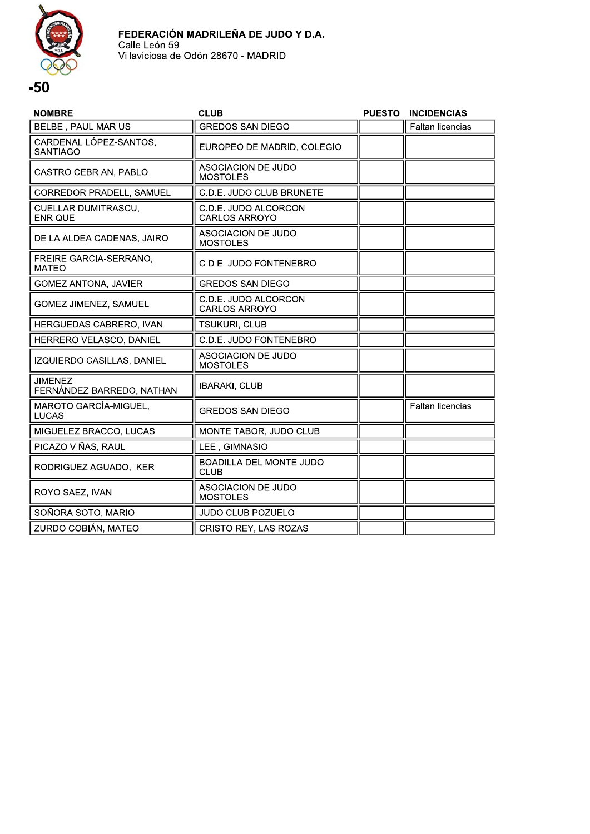

| <b>NOMBRE</b>                               | <b>CLUB</b>                                   | <b>PUESTO</b> | <b>INCIDENCIAS</b> |
|---------------------------------------------|-----------------------------------------------|---------------|--------------------|
| <b>BELBE, PAUL MARIUS</b>                   | <b>GREDOS SAN DIEGO</b>                       |               | Faltan licencias   |
| CARDENAL LÓPEZ-SANTOS,<br><b>SANTIAGO</b>   | EUROPEO DE MADRID, COLEGIO                    |               |                    |
| CASTRO CEBRIAN, PABLO                       | <b>ASOCIACION DE JUDO</b><br><b>MOSTOLES</b>  |               |                    |
| CORREDOR PRADELL, SAMUEL                    | C.D.E. JUDO CLUB BRUNETE                      |               |                    |
| CUELLAR DUMITRASCU,<br><b>ENRIQUE</b>       | C.D.E. JUDO ALCORCON<br><b>CARLOS ARROYO</b>  |               |                    |
| DE LA ALDEA CADENAS, JAIRO                  | ASOCIACION DE JUDO<br><b>MOSTOLES</b>         |               |                    |
| FREIRE GARCIA-SERRANO,<br><b>MATEO</b>      | C.D.E. JUDO FONTENEBRO                        |               |                    |
| <b>GOMEZ ANTONA, JAVIER</b>                 | <b>GREDOS SAN DIEGO</b>                       |               |                    |
| GOMEZ JIMENEZ, SAMUEL                       | C.D.E. JUDO ALCORCON<br><b>CARLOS ARROYO</b>  |               |                    |
| HERGUEDAS CABRERO, IVAN                     | TSUKURI, CLUB                                 |               |                    |
| HERRERO VELASCO, DANIEL                     | C.D.E. JUDO FONTENEBRO                        |               |                    |
| IZQUIERDO CASILLAS, DANIEL                  | <b>ASOCIACION DE JUDO</b><br><b>MOSTOLES</b>  |               |                    |
| <b>JIMENEZ</b><br>FERNÁNDEZ-BARREDO, NATHAN | <b>IBARAKI, CLUB</b>                          |               |                    |
| MAROTO GARCÍA-MIGUEL,<br><b>LUCAS</b>       | <b>GREDOS SAN DIEGO</b>                       |               | Faltan licencias   |
| MIGUELEZ BRACCO, LUCAS                      | MONTE TABOR, JUDO CLUB                        |               |                    |
| PICAZO VIÑAS, RAUL                          | LEE, GIMNASIO                                 |               |                    |
| RODRIGUEZ AGUADO, IKER                      | <b>BOADILLA DEL MONTE JUDO</b><br><b>CLUB</b> |               |                    |
| ROYO SAEZ, IVAN                             | ASOCIACION DE JUDO<br><b>MOSTOLES</b>         |               |                    |
| SOÑORA SOTO, MARIO                          | <b>JUDO CLUB POZUELO</b>                      |               |                    |
| ZURDO COBIÁN. MATEO                         | CRISTO REY. LAS ROZAS                         |               |                    |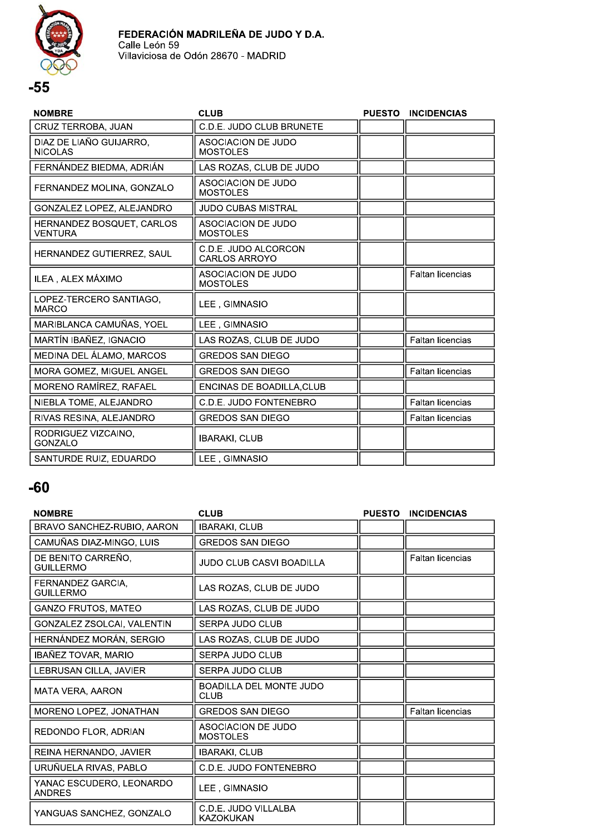

| <b>NOMBRE</b>                             | <b>CLUB</b>                                  | <b>PUESTO</b> | <b>INCIDENCIAS</b>      |
|-------------------------------------------|----------------------------------------------|---------------|-------------------------|
| CRUZ TERROBA, JUAN                        | C.D.E. JUDO CLUB BRUNETE                     |               |                         |
| DIAZ DE LIAÑO GUIJARRO,<br><b>NICOLAS</b> | <b>ASOCIACION DE JUDO</b><br><b>MOSTOLES</b> |               |                         |
| FERNÁNDEZ BIEDMA, ADRIÁN                  | LAS ROZAS, CLUB DE JUDO                      |               |                         |
| FERNANDEZ MOLINA, GONZALO                 | ASOCIACION DE JUDO<br><b>MOSTOLES</b>        |               |                         |
| GONZALEZ LOPEZ, ALEJANDRO                 | <b>JUDO CUBAS MISTRAL</b>                    |               |                         |
| HERNANDEZ BOSQUET, CARLOS<br>VENTURA      | ASOCIACION DE JUDO<br><b>MOSTOLES</b>        |               |                         |
| HERNANDEZ GUTIERREZ, SAUL                 | C.D.E. JUDO ALCORCON<br><b>CARLOS ARROYO</b> |               |                         |
| ILEA, ALEX MÁXIMO                         | <b>ASOCIACION DE JUDO</b><br><b>MOSTOLES</b> |               | <b>Faltan licencias</b> |
| LOPEZ-TERCERO SANTIAGO,<br><b>MARCO</b>   | LEE, GIMNASIO                                |               |                         |
| MARIBLANCA CAMUÑAS, YOEL                  | LEE, GIMNASIO                                |               |                         |
| MARTÍN IBAÑEZ, IGNACIO                    | LAS ROZAS, CLUB DE JUDO                      |               | Faltan licencias        |
| MEDINA DEL ÁLAMO, MARCOS                  | <b>GREDOS SAN DIEGO</b>                      |               |                         |
| MORA GOMEZ, MIGUEL ANGEL                  | <b>GREDOS SAN DIEGO</b>                      |               | Faltan licencias        |
| MORENO RAMÍREZ, RAFAEL                    | ENCINAS DE BOADILLA, CLUB                    |               |                         |
| NIEBLA TOME, ALEJANDRO                    | C.D.E. JUDO FONTENEBRO                       |               | Faltan licencias        |
| RIVAS RESINA, ALEJANDRO                   | <b>GREDOS SAN DIEGO</b>                      |               | Faltan licencias        |
| RODRIGUEZ VIZCAINO,<br><b>GONZALO</b>     | <b>IBARAKI, CLUB</b>                         |               |                         |
| SANTURDE RUIZ. EDUARDO                    | LEE, GIMNASIO                                |               |                         |

| <b>NOMBRE</b>                             | <b>CLUB</b>                                   | <b>PUESTO</b> | <b>INCIDENCIAS</b>      |
|-------------------------------------------|-----------------------------------------------|---------------|-------------------------|
| BRAVO SANCHEZ-RUBIO, AARON                | <b>IBARAKI, CLUB</b>                          |               |                         |
| CAMUÑAS DIAZ-MINGO, LUIS                  | <b>GREDOS SAN DIEGO</b>                       |               |                         |
| DE BENITO CARREÑO,<br><b>GUILLERMO</b>    | <b>JUDO CLUB CASVI BOADILLA</b>               |               | <b>Faltan licencias</b> |
| FERNANDEZ GARCIA.<br><b>GUILLERMO</b>     | LAS ROZAS, CLUB DE JUDO                       |               |                         |
| <b>GANZO FRUTOS, MATEO</b>                | LAS ROZAS, CLUB DE JUDO                       |               |                         |
| GONZALEZ ZSOLCAI, VALENTIN                | <b>SERPA JUDO CLUB</b>                        |               |                         |
| HERNÁNDEZ MORÁN, SERGIO                   | LAS ROZAS, CLUB DE JUDO                       |               |                         |
| IBAÑEZ TOVAR, MARIO                       | SERPA JUDO CLUB                               |               |                         |
| LEBRUSAN CILLA, JAVIER                    | SERPA JUDO CLUB                               |               |                         |
| <b>MATA VERA, AARON</b>                   | <b>BOADILLA DEL MONTE JUDO</b><br><b>CLUB</b> |               |                         |
| MORENO LOPEZ, JONATHAN                    | <b>GREDOS SAN DIEGO</b>                       |               | <b>Faltan licencias</b> |
| REDONDO FLOR, ADRIAN                      | <b>ASOCIACION DE JUDO</b><br><b>MOSTOLES</b>  |               |                         |
| REINA HERNANDO, JAVIER                    | <b>IBARAKI, CLUB</b>                          |               |                         |
| URUÑUELA RIVAS, PABLO                     | C.D.E. JUDO FONTENEBRO                        |               |                         |
| YANAC ESCUDERO, LEONARDO<br><b>ANDRES</b> | LEE, GIMNASIO                                 |               |                         |
| YANGUAS SANCHEZ, GONZALO                  | C.D.E. JUDO VILLALBA<br>KAZOKUKAN             |               |                         |